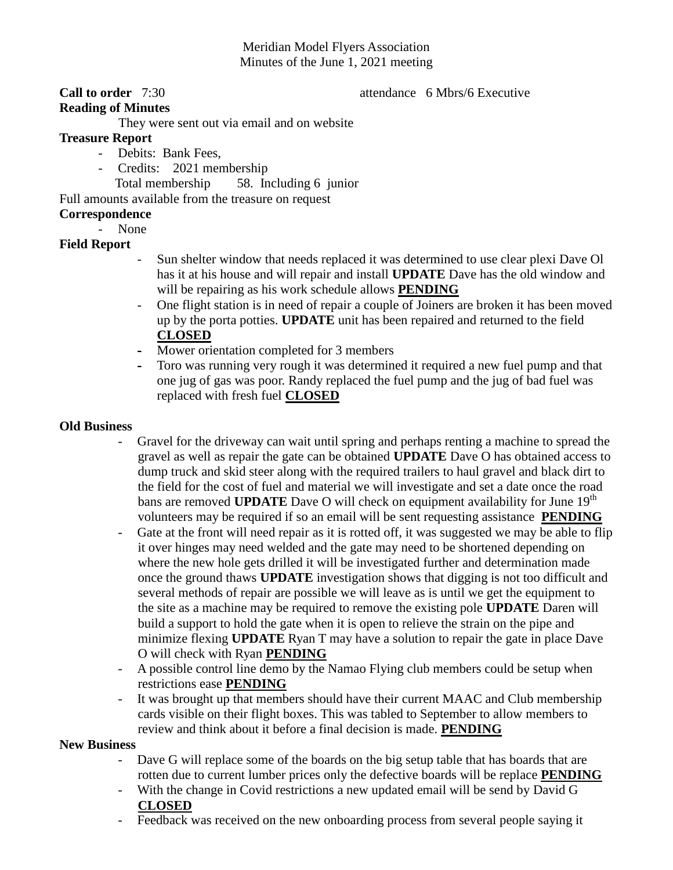# Meridian Model Flyers Association Minutes of the June 1, 2021 meeting

#### **Call to order** 7:30 **attendance** 6 Mbrs/6 Executive

## **Reading of Minutes**

They were sent out via email and on website

### **Treasure Report**

- Debits: Bank Fees,
	- Credits: 2021 membership
		- Total membership 58. Including 6 junior

Full amounts available from the treasure on request

## **Correspondence**

- None

# **Field Report**

- Sun shelter window that needs replaced it was determined to use clear plexi Dave Ol has it at his house and will repair and install **UPDATE** Dave has the old window and will be repairing as his work schedule allows **PENDING**
- One flight station is in need of repair a couple of Joiners are broken it has been moved up by the porta potties. **UPDATE** unit has been repaired and returned to the field **CLOSED**
- Mower orientation completed for 3 members
- Toro was running very rough it was determined it required a new fuel pump and that one jug of gas was poor. Randy replaced the fuel pump and the jug of bad fuel was replaced with fresh fuel **CLOSED**

### **Old Business**

- Gravel for the driveway can wait until spring and perhaps renting a machine to spread the gravel as well as repair the gate can be obtained **UPDATE** Dave O has obtained access to dump truck and skid steer along with the required trailers to haul gravel and black dirt to the field for the cost of fuel and material we will investigate and set a date once the road bans are removed **UPDATE** Dave O will check on equipment availability for June 19<sup>th</sup> volunteers may be required if so an email will be sent requesting assistance **PENDING**
- Gate at the front will need repair as it is rotted off, it was suggested we may be able to flip it over hinges may need welded and the gate may need to be shortened depending on where the new hole gets drilled it will be investigated further and determination made once the ground thaws **UPDATE** investigation shows that digging is not too difficult and several methods of repair are possible we will leave as is until we get the equipment to the site as a machine may be required to remove the existing pole **UPDATE** Daren will build a support to hold the gate when it is open to relieve the strain on the pipe and minimize flexing **UPDATE** Ryan T may have a solution to repair the gate in place Dave O will check with Ryan **PENDING**
- A possible control line demo by the Namao Flying club members could be setup when restrictions ease **PENDING**
- It was brought up that members should have their current MAAC and Club membership cards visible on their flight boxes. This was tabled to September to allow members to review and think about it before a final decision is made. **PENDING**

#### **New Business**

- Dave G will replace some of the boards on the big setup table that has boards that are rotten due to current lumber prices only the defective boards will be replace **PENDING**
- With the change in Covid restrictions a new updated email will be send by David G **CLOSED**
- Feedback was received on the new onboarding process from several people saying it